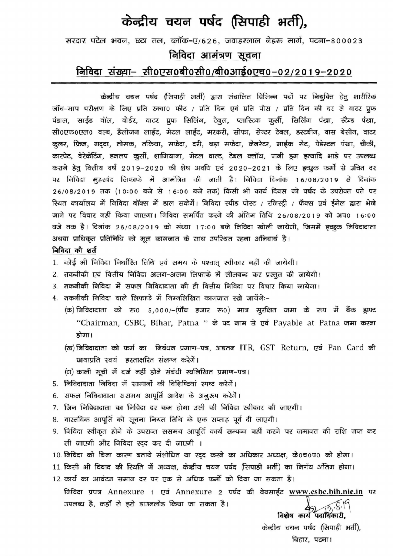## केन्द्रीय चयन पर्षद (सिपाही भर्ती),

## सरदार पटेल भवन, छठा तल, ब्लॉक-ए/626, जवाहरलाल नेहरू मार्ग, पटना-800023 निविदा आमंत्रण सूचना निविदा संख्या– सी0एस0बी0सी0/बी0आई0एच0-02/2019-2020

केन्द्रीय चयन पर्षद (सिपाही भर्ती) द्वारा संचालित विभिन्न पदों पर नियुक्ति हेतु शारीरिक जाँच-माप परीक्षण के लिए प्रति स्क्वा0 फीट / प्रति दिन एवं प्रति पीस / प्रति दिन की दर से वाटर प्रूफ पंडाल, साईड वॉल, वोर्डर, वाटर प्रूफ सिलिंग, टेबुल, प्लास्टिक कुर्सी, सिलिंग पंखा, स्टैन्ड पंखा, सी0एफ0एल0 बल्ब, हैलोजन लाईट, मेटल लाईट, मरकरी, सोफा, सेन्टर टेबल, डस्टबीन, वास बेसीन, वाटर कुलर, फ्रिज, गद्दा, तोसक, तकिया, सफेदा, दरी, बड़ा सफेदा, जेनरेटर, माईक सेट, पेडेस्टल पंखा, चौकी, कारपेट, बेरेकेटिंग, डनलप कुर्सी, शामियाना, मेटल वाल्ट, टेबल क्लॉथ, पानी डूम इत्यादि भाड़े पर उपलब्ध कराने हेतु वित्तीय वर्ष 2019–2020 की शेष अवधि एवं 2020–2021 के लिए इच्छुक फर्मो से उचित दर पर निविदा मुहरबंद लिफाफे में आमंत्रित की जाती है। निविदा दिनांक 16/08/2019 से दिनांक 26/08/2019 तक (10:00 बजे से 16:00 बजे तक) किसी भी कार्य दिवस को पर्षद के उपरोक्त पते पर रिथत कार्यालय में निविदा बॉक्स में डाल सकेगें। निविदा स्पीड पोस्ट / रजिस्ट्री / फैक्स एवं ईमेल द्वारा भेजे जाने पर विचार नहीं किया जाएगा। निविदा समर्पित करने की अंतिम तिथि 26/08/2019 को अप0 16:00 बजे तक है। दिनांक 26/08/2019 को संध्या 17:00 बजे निविदा खोली जायेगी, जिसमें इच्छुक निविदादाता अथवा प्राधिकृत प्रतिनिधि को मूल कागजात के साथ उपस्थित रहना अनिवार्य है। निविदा की शर्त

- 1. कोई भी निविदा निर्धारित तिथि एवं समय के पश्चात् स्वीकार नहीं की जायेगी।
- 2. तकनीकी एवं वित्तीय निविदा अलग-अलग लिफाफे में सीलबन्द कर प्रस्तुत की जायेगी।
- 3. तकनीकी निविदा में सफल निविदादाता की ही वित्तीय निविदा पर विचार किया जायेगा।
- 4. तकनीकी निविदा वाले लिफाफे में निम्नलिखित कागजात रखे जायेंगेः–
	- (क) निविदादाता को रू0 5,000/-(पाँच हजार रू0) मात्र सुरक्षित जमा के रूप में बैंक ड्राफ्ट "Chairman, CSBC, Bihar, Patna " के पद नाम से एवं Payable at Patna जमा करना होगा।
	- (ख) निविदादाता को फर्म का लिबंधन प्रमाण-पत्र, अद्यतन ITR, GST Return, एवं Pan Card की छायाप्रति स्वयं हस्ताक्षरित संलग्न करेगें।
	- (ग) काली सूची में दर्ज नहीं होने संबंधी स्वलिखित प्रमाण-पत्र।
- 5. निविदादाता निविदा में सामानों की विशिष्टियां स्पष्ट करेगें।
- 6. सफल निविदादाता ससमय आपूर्ति आदेश के अनूरुप करेगें।
- 7. जिन निविदादाता का निविदा दर कम होगा उसी की निविदा स्वीकार की जाएगी।
- 8. वास्तविक आपूर्ति की सूचना नियत तिथि के एक सप्ताह पूर्व दी जाएगी।
- 9. निविदा स्वीकृत होने के उपरान्त ससमय आपूर्ति कार्य सम्पन्न नहीं करने पर जमानत की राशि जप्त कर ली जाएगी और निविदा रद्द कर दी जाएगी ।
- 10. निविदा को बिना कारण बताये संशोधित या रद्द करने का अधिकार अध्यक्ष, के0च0प0 को होगा।
- 11. किसी भी विवाद की स्थिति में अध्यक्ष, केन्द्रीय चयन पर्षद (सिपाही भर्ती) का निर्णय अंतिम होगा।

12. कार्य का आवंटन समान दर पर एक से अधिक फर्मो को दिया जा सकता है।

निविदा प्रपत्र Annexure 1 एवं Annexure 2 पर्षद की बेवसाईट www.csbc.bih.nic.in पर उपलब्ध है, जहाँ से इसे डाउनलोड किया जा सकता है। ते<br>विशेष कार्य पदाधिकारी,

केन्द्रीय चयन पर्षद (सिपाही भर्ती), बिहार, पटना।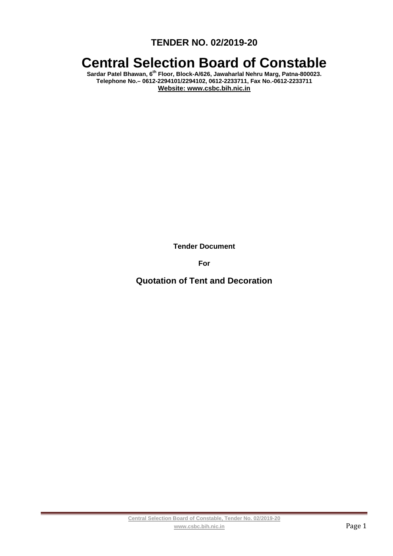**TENDER NO. 02/2019-20** 

# **Central Selection Board of Constable**

**Sardar Patel Bhawan, 6th Floor, Block-A/626, Jawaharlal Nehru Marg, Patna-800023. Telephone No.– 0612-2294101/2294102, 0612-2233711, Fax No.-0612-2233711 Website: www.csbc.bih.nic.in** 

**Tender Document** 

**For** 

**Quotation of Tent and Decoration**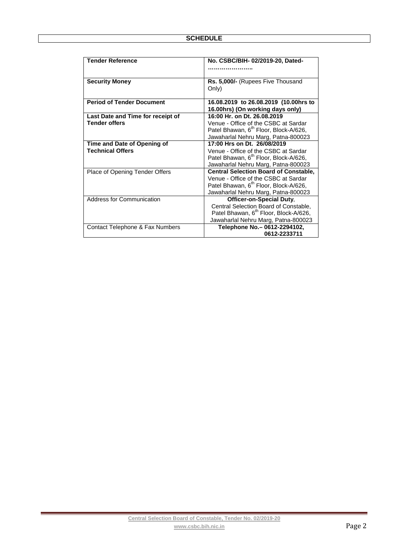| <b>Tender Reference</b>           | No. CSBC/BIH-02/2019-20, Dated-                   |  |  |
|-----------------------------------|---------------------------------------------------|--|--|
|                                   |                                                   |  |  |
| <b>Security Money</b>             | Rs. 5,000/- (Rupees Five Thousand                 |  |  |
|                                   | Only)                                             |  |  |
| <b>Period of Tender Document</b>  | 16.08.2019 to 26.08.2019 (10.00hrs to             |  |  |
|                                   | 16.00hrs) (On working days only)                  |  |  |
| Last Date and Time for receipt of | 16:00 Hr. on Dt. 26.08.2019                       |  |  |
| <b>Tender offers</b>              | Venue - Office of the CSBC at Sardar              |  |  |
|                                   | Patel Bhawan, 6 <sup>th</sup> Floor, Block-A/626, |  |  |
|                                   | Jawaharlal Nehru Marg, Patna-800023               |  |  |
| Time and Date of Opening of       | 17:00 Hrs on Dt. 26/08/2019                       |  |  |
| <b>Technical Offers</b>           | Venue - Office of the CSBC at Sardar              |  |  |
|                                   | Patel Bhawan, 6 <sup>th</sup> Floor, Block-A/626, |  |  |
|                                   | Jawaharlal Nehru Marg, Patna-800023               |  |  |
| Place of Opening Tender Offers    | <b>Central Selection Board of Constable,</b>      |  |  |
|                                   | Venue - Office of the CSBC at Sardar              |  |  |
|                                   | Patel Bhawan, 6 <sup>th</sup> Floor, Block-A/626, |  |  |
|                                   | Jawaharlal Nehru Marg, Patna-800023               |  |  |
| <b>Address for Communication</b>  | Officer-on-Special Duty,                          |  |  |
|                                   | Central Selection Board of Constable,             |  |  |
|                                   | Patel Bhawan, 6 <sup>th</sup> Floor, Block-A/626, |  |  |
|                                   | Jawaharlal Nehru Marg, Patna-800023               |  |  |
| Contact Telephone & Fax Numbers   | Telephone No. - 0612-2294102,                     |  |  |
|                                   | 0612-2233711                                      |  |  |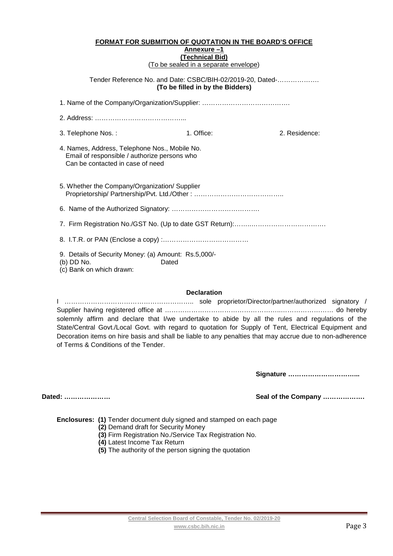## **FORMAT FOR SUBMITION OF QUOTATION IN THE BOARD'S OFFICE**

#### **Annexure –1 (Technical Bid)**

(To be sealed in a separate envelope)

Tender Reference No. and Date: CSBC/BIH-02/2019-20, Dated-………………. **(To be filled in by the Bidders)** 

| 3. Telephone Nos.:                                                                                                                | 1. Office: | 2. Residence: |  |  |
|-----------------------------------------------------------------------------------------------------------------------------------|------------|---------------|--|--|
| 4. Names, Address, Telephone Nos., Mobile No.<br>Email of responsible / authorize persons who<br>Can be contacted in case of need |            |               |  |  |
| 5. Whether the Company/Organization/ Supplier                                                                                     |            |               |  |  |
|                                                                                                                                   |            |               |  |  |
|                                                                                                                                   |            |               |  |  |
|                                                                                                                                   |            |               |  |  |
| 9. Details of Security Money: (a) Amount: Rs.5,000/-<br>(b) DD No.<br>(c) Bank on which drawn:                                    | Dated      |               |  |  |

## **Declaration**

I ………………………………………………….. sole proprietor/Director/partner/authorized signatory / Supplier having registered office at ……………………………………………..…………………… do hereby solemnly affirm and declare that I/we undertake to abide by all the rules and regulations of the State/Central Govt./Local Govt. with regard to quotation for Supply of Tent, Electrical Equipment and Decoration items on hire basis and shall be liable to any penalties that may accrue due to non-adherence of Terms & Conditions of the Tender.

**Signature …………………………...** 

**Dated: ………………… Seal of the Company ……………….** 

**Enclosures: (1)** Tender document duly signed and stamped on each page

- **(2)** Demand draft for Security Money
- **(3)** Firm Registration No./Service Tax Registration No.
- **(4)** Latest Income Tax Return
- **(5)** The authority of the person signing the quotation